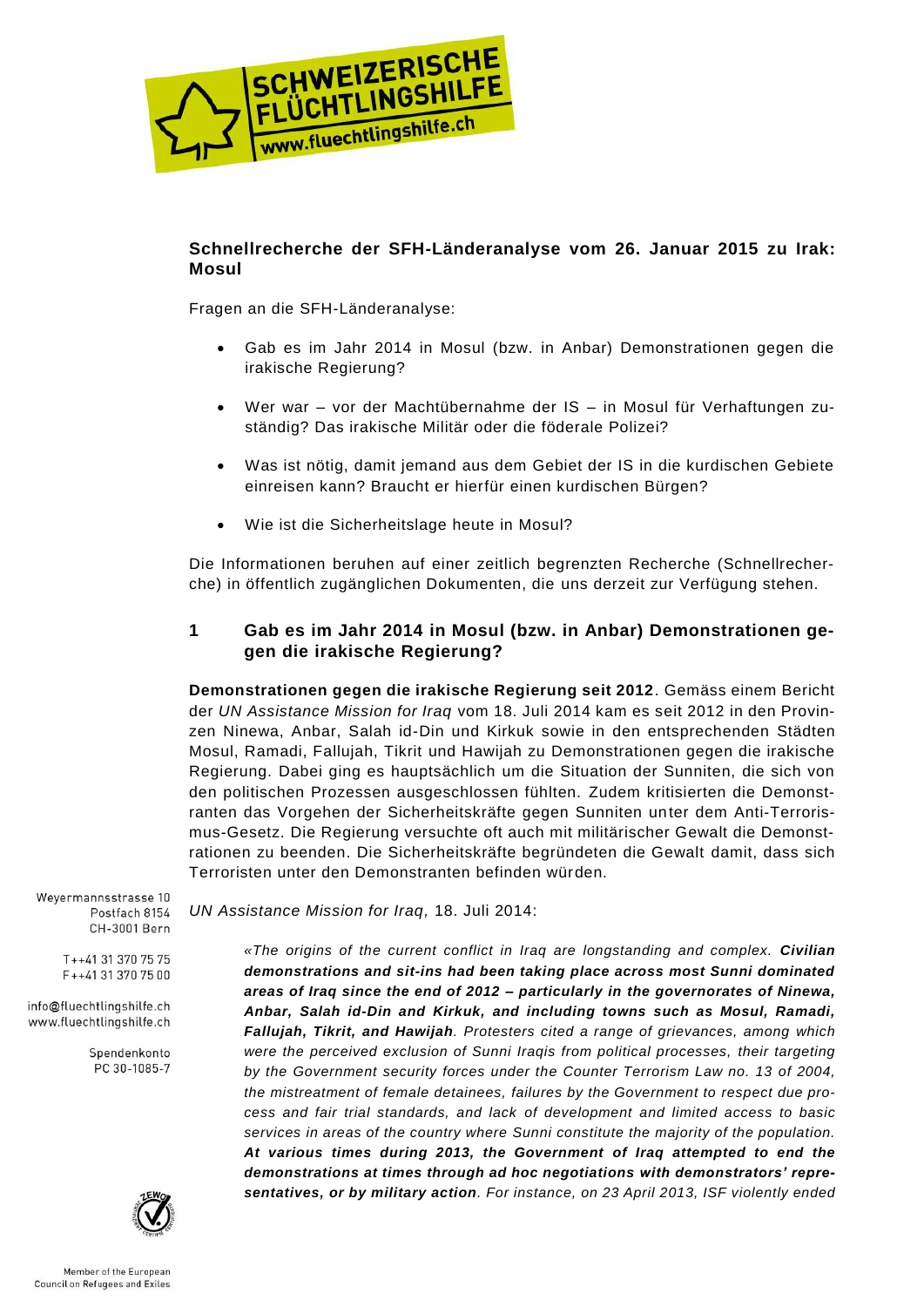

# **Schnellrecherche der SFH-Länderanalyse vom 26. Januar 2015 zu Irak: Mosul**

Fragen an die SFH-Länderanalyse:

- Gab es im Jahr 2014 in Mosul (bzw. in Anbar) Demonstrationen gegen die irakische Regierung?
- Wer war vor der Machtübernahme der IS in Mosul für Verhaftungen zuständig? Das irakische Militär oder die föderale Polizei?
- Was ist nötig, damit jemand aus dem Gebiet der IS in die kurdischen Gebiete einreisen kann? Braucht er hierfür einen kurdischen Bürgen?
- Wie ist die Sicherheitslage heute in Mosul?

Die Informationen beruhen auf einer zeitlich begrenzten Recherche (Schnellrecherche) in öffentlich zugänglichen Dokumenten, die uns derzeit zur Verfügung stehen.

## **1 Gab es im Jahr 2014 in Mosul (bzw. in Anbar) Demonstrationen gegen die irakische Regierung?**

**Demonstrationen gegen die irakische Regierung seit 2012**. Gemäss einem Bericht der *UN Assistance Mission for Iraq* vom 18. Juli 2014 kam es seit 2012 in den Provinzen Ninewa, Anbar, Salah id-Din und Kirkuk sowie in den entsprechenden Städten Mosul, Ramadi, Fallujah, Tikrit und Hawijah zu Demonstrationen gegen die irakische Regierung. Dabei ging es hauptsächlich um die Situation der Sunniten, die sich von den politischen Prozessen ausgeschlossen fühlten. Zudem kritisierten die Demonstranten das Vorgehen der Sicherheitskräfte gegen Sunniten unter dem Anti-Terrorismus-Gesetz. Die Regierung versuchte oft auch mit militärischer Gewalt die Demonstrationen zu beenden. Die Sicherheitskräfte begründeten die Gewalt damit, dass sich Terroristen unter den Demonstranten befinden würden.

Weyermannsstrasse 10 Postfach 8154 CH-3001 Bern

> T++41 31 370 75 75 F++41 31 370 75 00

info@fluechtlingshilfe.ch www.fluechtlingshilfe.ch

> Spendenkonto PC 30-1085-7



*«The origins of the current conflict in Iraq are longstanding and complex. Civilian demonstrations and sit-ins had been taking place across most Sunni dominated* 

*UN Assistance Mission for Iraq,* 18. Juli 2014:

*areas of Iraq since the end of 2012 – particularly in the governorates of Ninewa, Anbar, Salah id-Din and Kirkuk, and including towns such as Mosul, Ramadi, Fallujah, Tikrit, and Hawijah. Protesters cited a range of grievances, among which were the perceived exclusion of Sunni Iraqis from political processes, their targeting by the Government security forces under the Counter Terrorism Law no. 13 of 2004, the mistreatment of female detainees, failures by the Government to respect due process and fair trial standards, and lack of development and limited access to basic services in areas of the country where Sunni constitute the majority of the population. At various times during 2013, the Government of Iraq attempted to end the demonstrations at times through ad hoc negotiations with demonstrators' representatives, or by military action. For instance, on 23 April 2013, ISF violently ended*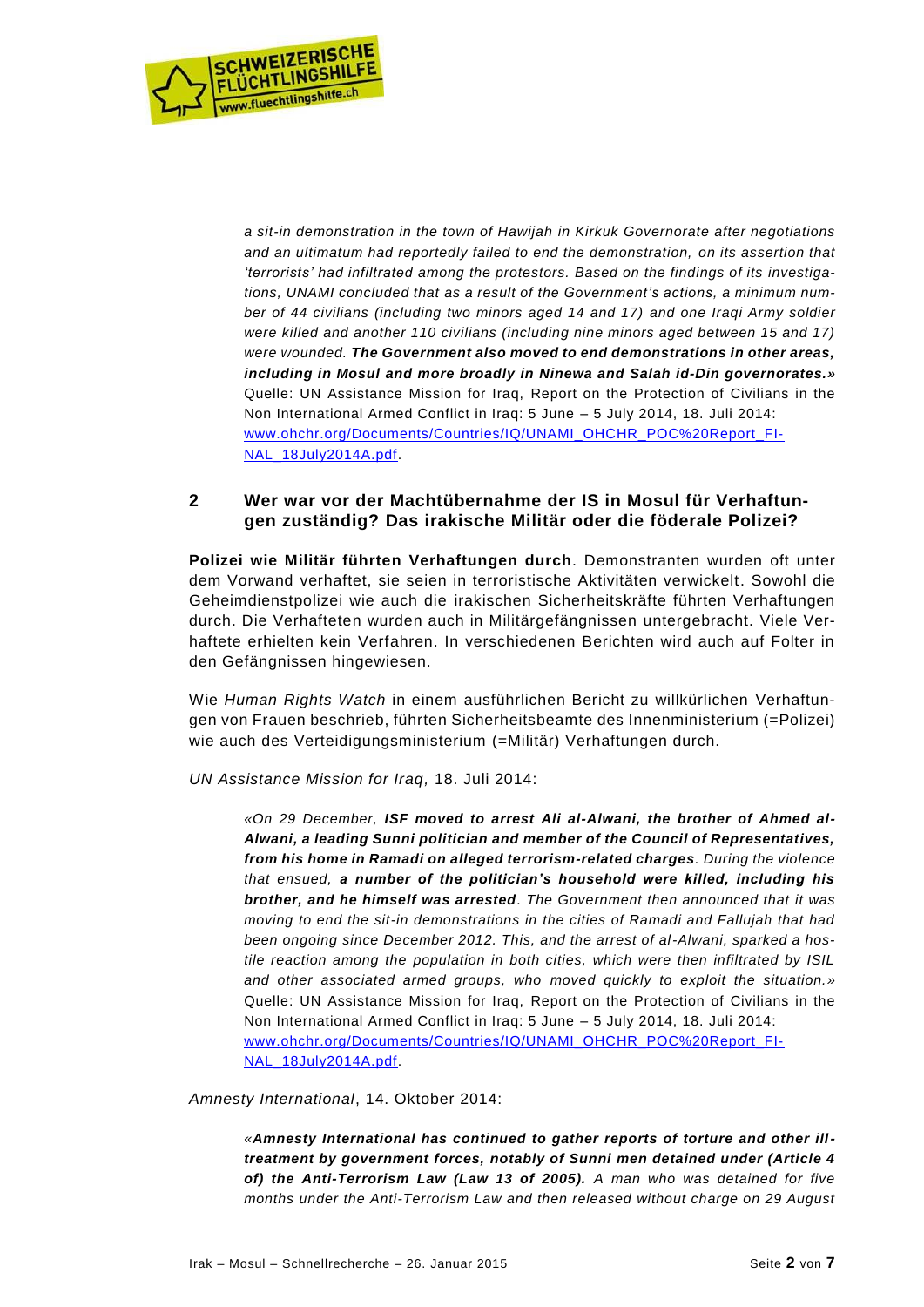

*a sit-in demonstration in the town of Hawijah in Kirkuk Governorate after negotiations and an ultimatum had reportedly failed to end the demonstration, on its assertion that 'terrorists' had infiltrated among the protestors. Based on the findings of its investigations, UNAMI concluded that as a result of the Government's actions, a minimum number of 44 civilians (including two minors aged 14 and 17) and one Iraqi Army soldier were killed and another 110 civilians (including nine minors aged between 15 and 17) were wounded. The Government also moved to end demonstrations in other areas, including in Mosul and more broadly in Ninewa and Salah id-Din governorates.»* Quelle: UN Assistance Mission for Iraq, Report on the Protection of Civilians in the Non International Armed Conflict in Iraq: 5 June – 5 July 2014, 18. Juli 2014: [www.ohchr.org/Documents/Countries/IQ/UNAMI\\_OHCHR\\_POC%20Report\\_FI-](http://www.ohchr.org/Documents/Countries/IQ/UNAMI_OHCHR_POC%20Report_FINAL_18July2014A.pdf)[NAL\\_18July2014A.pdf.](http://www.ohchr.org/Documents/Countries/IQ/UNAMI_OHCHR_POC%20Report_FINAL_18July2014A.pdf)

### **2 Wer war vor der Machtübernahme der IS in Mosul für Verhaftungen zuständig? Das irakische Militär oder die föderale Polizei?**

**Polizei wie Militär führten Verhaftungen durch**. Demonstranten wurden oft unter dem Vorwand verhaftet, sie seien in terroristische Aktivitäten verwickelt. Sowohl die Geheimdienstpolizei wie auch die irakischen Sicherheitskräfte führten Verhaftungen durch. Die Verhafteten wurden auch in Militärgefängnissen untergebracht. Viele Verhaftete erhielten kein Verfahren. In verschiedenen Berichten wird auch auf Folter in den Gefängnissen hingewiesen.

Wie *Human Rights Watch* in einem ausführlichen Bericht zu willkürlichen Verhaftungen von Frauen beschrieb, führten Sicherheitsbeamte des Innenministerium (=Polizei) wie auch des Verteidigungsministerium (=Militär) Verhaftungen durch.

*UN Assistance Mission for Iraq,* 18. Juli 2014:

*«On 29 December, ISF moved to arrest Ali al-Alwani, the brother of Ahmed al-Alwani, a leading Sunni politician and member of the Council of Representatives, from his home in Ramadi on alleged terrorism-related charges. During the violence that ensued, a number of the politician's household were killed, including his brother, and he himself was arrested. The Government then announced that it was moving to end the sit-in demonstrations in the cities of Ramadi and Fallujah that had been ongoing since December 2012. This, and the arrest of al-Alwani, sparked a hostile reaction among the population in both cities, which were then infiltrated by ISIL and other associated armed groups, who moved quickly to exploit the situation.»* Quelle: UN Assistance Mission for Iraq, Report on the Protection of Civilians in the Non International Armed Conflict in Iraq: 5 June – 5 July 2014, 18. Juli 2014: [www.ohchr.org/Documents/Countries/IQ/UNAMI\\_OHCHR\\_POC%20Report\\_FI-](http://www.ohchr.org/Documents/Countries/IQ/UNAMI_OHCHR_POC%20Report_FINAL_18July2014A.pdf)[NAL\\_18July2014A.pdf.](http://www.ohchr.org/Documents/Countries/IQ/UNAMI_OHCHR_POC%20Report_FINAL_18July2014A.pdf)

*Amnesty International*, 14. Oktober 2014:

*«Amnesty International has continued to gather reports of torture and other illtreatment by government forces, notably of Sunni men detained under (Article 4 of) the Anti-Terrorism Law (Law 13 of 2005). A man who was detained for five months under the Anti-Terrorism Law and then released without charge on 29 August*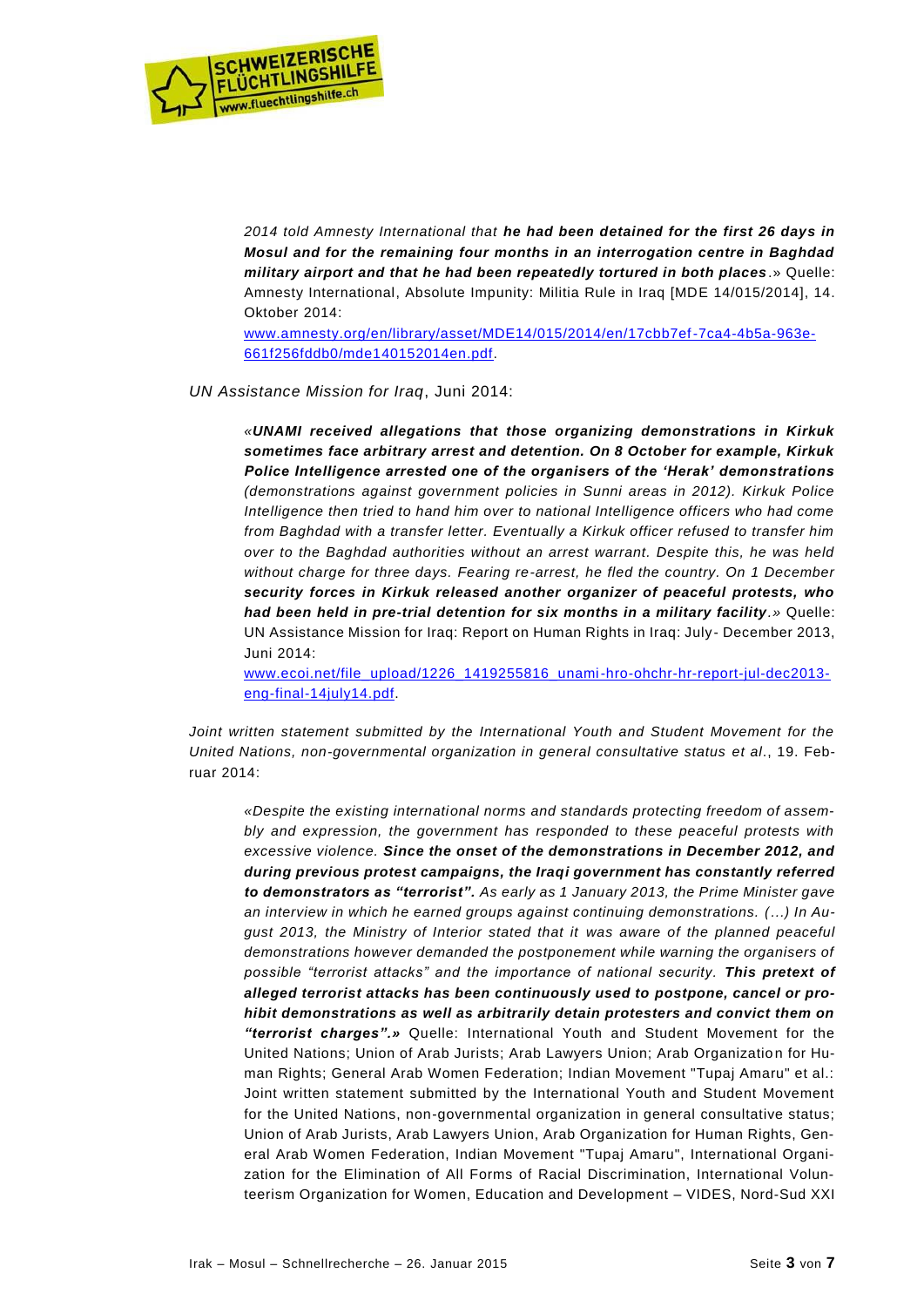

*2014 told Amnesty International that he had been detained for the first 26 days in Mosul and for the remaining four months in an interrogation centre in Baghdad military airport and that he had been repeatedly tortured in both places*.» Quelle: Amnesty International, Absolute Impunity: Militia Rule in Iraq [MDE 14/015/2014], 14. Oktober 2014:

[www.amnesty.org/en/library/asset/MDE14/015/2014/en/17cbb7ef-7ca4-4b5a-963e-](http://www.amnesty.org/en/library/asset/MDE14/015/2014/en/17cbb7ef-7ca4-4b5a-963e-661f256fddb0/mde140152014en.pdf)[661f256fddb0/mde140152014en.pdf.](http://www.amnesty.org/en/library/asset/MDE14/015/2014/en/17cbb7ef-7ca4-4b5a-963e-661f256fddb0/mde140152014en.pdf)

*UN Assistance Mission for Iraq*, Juni 2014:

*«UNAMI received allegations that those organizing demonstrations in Kirkuk sometimes face arbitrary arrest and detention. On 8 October for example, Kirkuk Police Intelligence arrested one of the organisers of the 'Herak' demonstrations (demonstrations against government policies in Sunni areas in 2012). Kirkuk Police Intelligence then tried to hand him over to national Intelligence officers who had come from Baghdad with a transfer letter. Eventually a Kirkuk officer refused to transfer him over to the Baghdad authorities without an arrest warrant. Despite this, he was held without charge for three days. Fearing re-arrest, he fled the country. On 1 December security forces in Kirkuk released another organizer of peaceful protests, who had been held in pre-trial detention for six months in a military facility.»* Quelle: UN Assistance Mission for Iraq: Report on Human Rights in Iraq: July- December 2013, Juni 2014:

[www.ecoi.net/file\\_upload/1226\\_1419255816\\_unami-hro-ohchr-hr-report-jul-dec2013](http://www.ecoi.net/file_upload/1226_1419255816_unami-hro-ohchr-hr-report-jul-dec2013-eng-final-14july14.pdf) [eng-final-14july14.pdf.](http://www.ecoi.net/file_upload/1226_1419255816_unami-hro-ohchr-hr-report-jul-dec2013-eng-final-14july14.pdf)

*Joint written statement submitted by the International Youth and Student Movement for the United Nations, non-governmental organization in general consultative status et al*., 19. Februar 2014:

*«Despite the existing international norms and standards protecting freedom of assembly and expression, the government has responded to these peaceful protests with excessive violence. Since the onset of the demonstrations in December 2012, and during previous protest campaigns, the Iraqi government has constantly referred to demonstrators as "terrorist". As early as 1 January 2013, the Prime Minister gave an interview in which he earned groups against continuing demonstrations. (…) In August 2013, the Ministry of Interior stated that it was aware of the planned peaceful demonstrations however demanded the postponement while warning the organisers of possible "terrorist attacks" and the importance of national security. This pretext of alleged terrorist attacks has been continuously used to postpone, cancel or prohibit demonstrations as well as arbitrarily detain protesters and convict them on "terrorist charges".»* Quelle: International Youth and Student Movement for the United Nations; Union of Arab Jurists; Arab Lawyers Union; Arab Organization for Human Rights; General Arab Women Federation; Indian Movement "Tupaj Amaru" et al.: Joint written statement submitted by the International Youth and Student Movement for the United Nations, non-governmental organization in general consultative status; Union of Arab Jurists, Arab Lawyers Union, Arab Organization for Human Rights, General Arab Women Federation, Indian Movement "Tupaj Amaru", International Organization for the Elimination of All Forms of Racial Discrimination, International Volunteerism Organization for Women, Education and Development – VIDES, Nord-Sud XXI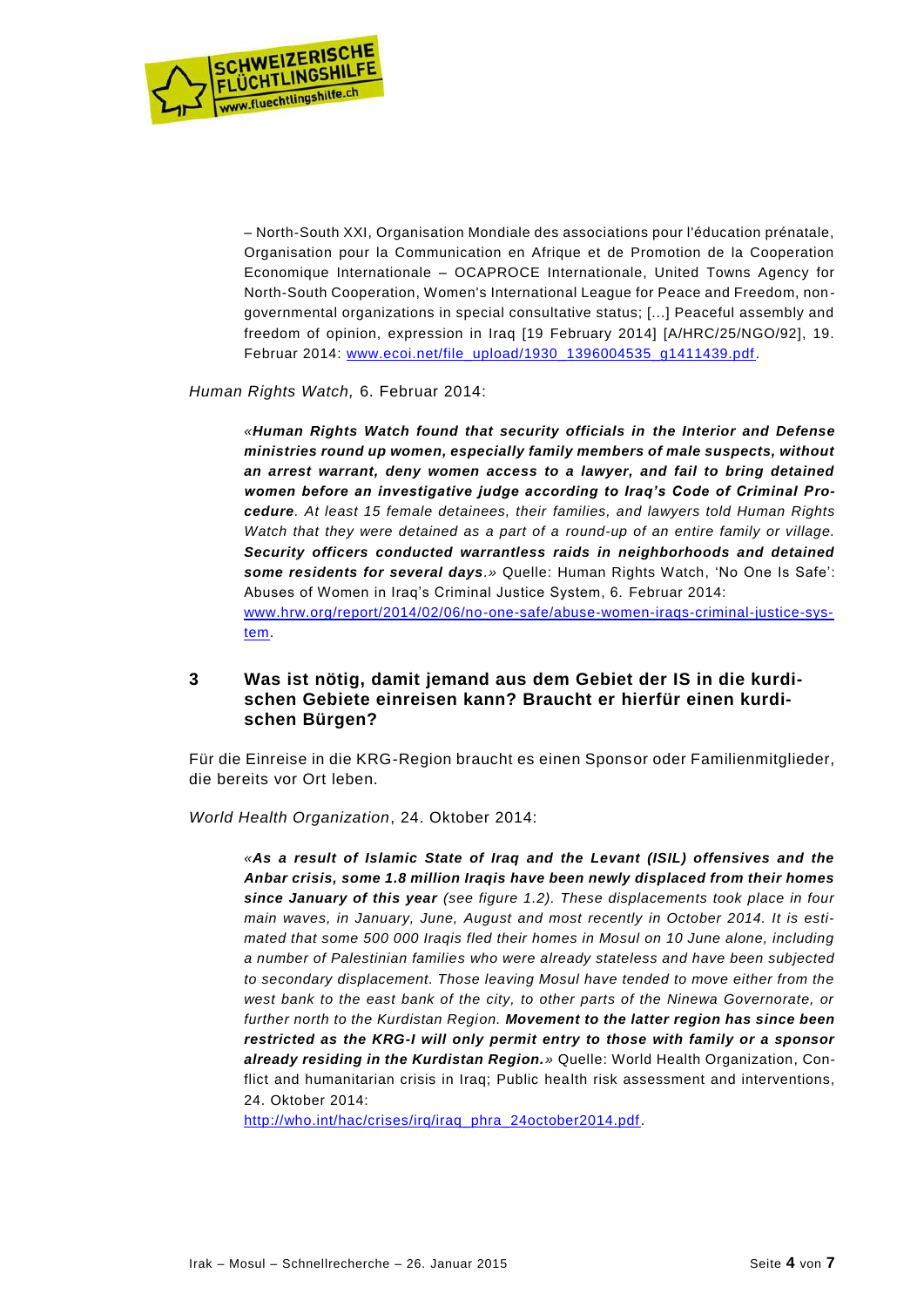

– North-South XXI, Organisation Mondiale des associations pour l'éducation prénatale, Organisation pour la Communication en Afrique et de Promotion de la Cooperation Economique Internationale – OCAPROCE Internationale, United Towns Agency for North-South Cooperation, Women's International League for Peace and Freedom, non governmental organizations in special consultative status; [...] Peaceful assembly and freedom of opinion, expression in Iraq [19 February 2014] [A/HRC/25/NGO/92], 19. Februar 2014: [www.ecoi.net/file\\_upload/1930\\_1396004535\\_g1411439.pdf.](http://www.ecoi.net/file_upload/1930_1396004535_g1411439.pdf)

*Human Rights Watch,* 6. Februar 2014:

*«Human Rights Watch found that security officials in the Interior and Defense ministries round up women, especially family members of male suspects, without an arrest warrant, deny women access to a lawyer, and fail to bring detained women before an investigative judge according to Iraq's Code of Criminal Procedure. At least 15 female detainees, their families, and lawyers told Human Rights Watch that they were detained as a part of a round-up of an entire family or village. Security officers conducted warrantless raids in neighborhoods and detained some residents for several days.»* Quelle: Human Rights Watch, 'No One Is Safe': Abuses of Women in Iraq's Criminal Justice System, 6. Februar 2014: [www.hrw.org/report/2014/02/06/no-one-safe/abuse-women-iraqs-criminal-justice-sys](http://www.hrw.org/report/2014/02/06/no-one-safe/abuse-women-iraqs-criminal-justice-system)[tem.](http://www.hrw.org/report/2014/02/06/no-one-safe/abuse-women-iraqs-criminal-justice-system)

### **3 Was ist nötig, damit jemand aus dem Gebiet der IS in die kurdischen Gebiete einreisen kann? Braucht er hierfür einen kurdischen Bürgen?**

Für die Einreise in die KRG-Region braucht es einen Sponsor oder Familienmitglieder, die bereits vor Ort leben.

*World Health Organization*, 24. Oktober 2014:

*«As a result of Islamic State of Iraq and the Levant (ISIL) offensives and the Anbar crisis, some 1.8 million Iraqis have been newly displaced from their homes since January of this year (see figure 1.2). These displacements took place in four main waves, in January, June, August and most recently in October 2014. It is estimated that some 500 000 Iraqis fled their homes in Mosul on 10 June alone, including a number of Palestinian families who were already stateless and have been subjected to secondary displacement. Those leaving Mosul have tended to move either from the west bank to the east bank of the city, to other parts of the Ninewa Governorate, or further north to the Kurdistan Region. Movement to the latter region has since been restricted as the KRG-I will only permit entry to those with family or a sponsor already residing in the Kurdistan Region.»* Quelle: World Health Organization, Conflict and humanitarian crisis in Iraq; Public health risk assessment and interventions, 24. Oktober 2014:

http://who.int/hac/crises/irq/iraq\_phra\_24october2014.pdf.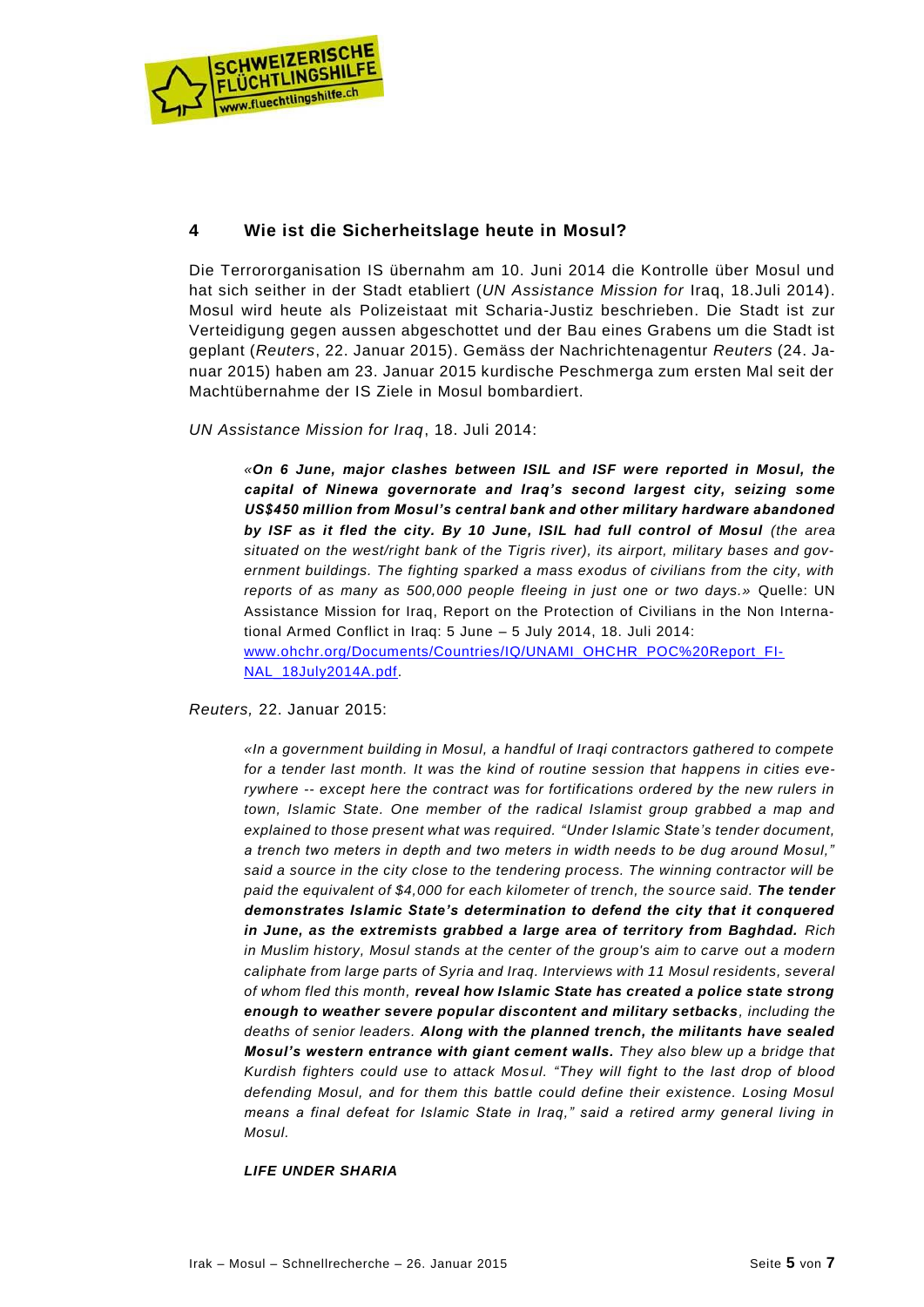

# **4 Wie ist die Sicherheitslage heute in Mosul?**

Die Terrororganisation IS übernahm am 10. Juni 2014 die Kontrolle über Mosul und hat sich seither in der Stadt etabliert (*UN Assistance Mission for* Iraq, 18.Juli 2014). Mosul wird heute als Polizeistaat mit Scharia-Justiz beschrieben. Die Stadt ist zur Verteidigung gegen aussen abgeschottet und der Bau eines Grabens um die Stadt ist geplant (*Reuters*, 22. Januar 2015). Gemäss der Nachrichtenagentur *Reuters* (24. Januar 2015) haben am 23. Januar 2015 kurdische Peschmerga zum ersten Mal seit der Machtübernahme der IS Ziele in Mosul bombardiert.

*UN Assistance Mission for Iraq*, 18. Juli 2014:

*«On 6 June, major clashes between ISIL and ISF were reported in Mosul, the capital of Ninewa governorate and Iraq's second largest city, seizing some US\$450 million from Mosul's central bank and other military hardware abandoned by ISF as it fled the city. By 10 June, ISIL had full control of Mosul (the area situated on the west/right bank of the Tigris river), its airport, military bases and government buildings. The fighting sparked a mass exodus of civilians from the city, with reports of as many as 500,000 people fleeing in just one or two days.»* Quelle: UN Assistance Mission for Iraq, Report on the Protection of Civilians in the Non International Armed Conflict in Iraq: 5 June – 5 July 2014, 18. Juli 2014: [www.ohchr.org/Documents/Countries/IQ/UNAMI\\_OHCHR\\_POC%20Report\\_FI-](http://www.ohchr.org/Documents/Countries/IQ/UNAMI_OHCHR_POC%20Report_FINAL_18July2014A.pdf)

[NAL\\_18July2014A.pdf.](http://www.ohchr.org/Documents/Countries/IQ/UNAMI_OHCHR_POC%20Report_FINAL_18July2014A.pdf)

*Reuters,* 22. Januar 2015:

*«In a government building in Mosul, a handful of Iraqi contractors gathered to compete for a tender last month. It was the kind of routine session that happens in cities everywhere -- except here the contract was for fortifications ordered by the new rulers in town, Islamic State. One member of the radical Islamist group grabbed a map and explained to those present what was required. "Under Islamic State's tender document, a trench two meters in depth and two meters in width needs to be dug around Mosul," said a source in the city close to the tendering process. The winning contractor will be paid the equivalent of \$4,000 for each kilometer of trench, the source said. The tender demonstrates Islamic State's determination to defend the city that it conquered in June, as the extremists grabbed a large area of territory from Baghdad. Rich in Muslim history, Mosul stands at the center of the group's aim to carve out a modern caliphate from large parts of [Syria](http://bit.ly/1svQDtr) and Iraq. Interviews with 11 Mosul residents, several of whom fled this month, reveal how Islamic State has created a police state strong enough to weather severe popular discontent and military setbacks, including the deaths of senior leaders. Along with the planned trench, the militants have sealed Mosul's western entrance with giant cement walls. They also blew up a bridge that Kurdish fighters could use to attack Mosul. "They will fight to the last drop of blood defending Mosul, and for them this battle could define their existence. Losing Mosul means a final defeat for Islamic State in Iraq," said a retired army general living in Mosul.*

#### *LIFE UNDER SHARIA*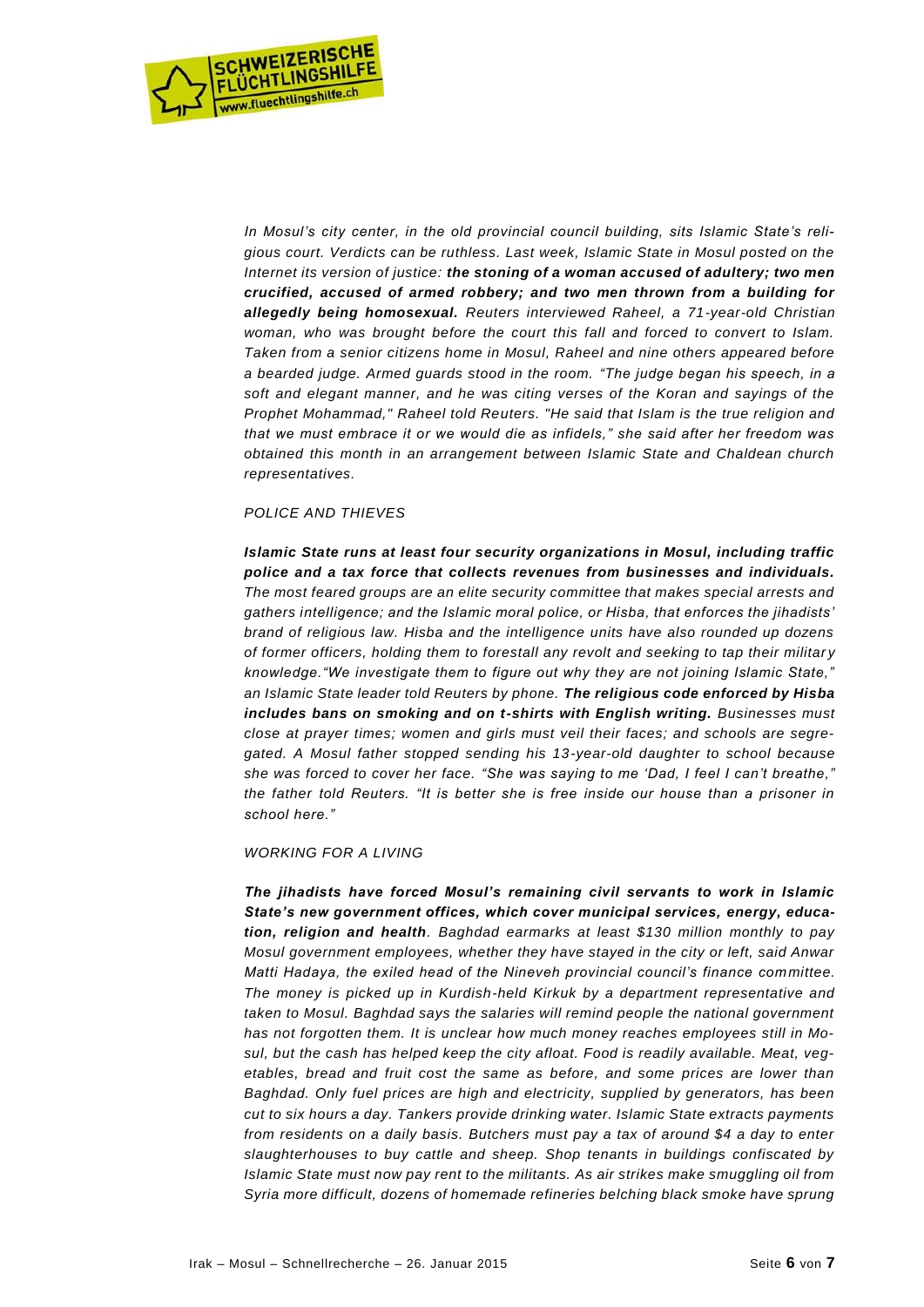

*In Mosul's city center, in the old provincial council building, sits Islamic State's religious court. Verdicts can be ruthless. Last week, Islamic State in Mosul posted on the Internet its version of justice: the stoning of a woman accused of adultery; two men crucified, accused of armed robbery; and two men thrown from a building for allegedly being homosexual. Reuters interviewed Raheel, a 71-year-old Christian woman, who was brought before the court this fall and forced to convert to Islam. Taken from a senior citizens home in Mosul, Raheel and nine others appeared before a bearded judge. Armed guards stood in the room. "The judge began his speech, in a soft and elegant manner, and he was citing verses of the Koran and sayings of the Prophet Mohammad," Raheel told Reuters. "He said that Islam is the true religion and that we must embrace it or we would die as infidels," she said after her freedom was obtained this month in an arrangement between Islamic State and Chaldean church representatives.* 

#### *POLICE AND THIEVES*

*Islamic State runs at least four security organizations in Mosul, including traffic police and a tax force that collects revenues from businesses and individuals. The most feared groups are an elite security committee that makes special arrests and gathers intelligence; and the Islamic moral police, or Hisba, that enforces the jihadists' brand of religious law. Hisba and the intelligence units have also rounded up dozens of former officers, holding them to forestall any revolt and seeking to tap their militar y knowledge."We investigate them to figure out why they are not joining Islamic State," an Islamic State leader told Reuters by phone. The religious code enforced by Hisba includes bans on smoking and on t-shirts with English writing. Businesses must close at prayer times; women and girls must veil their faces; and schools are segregated. A Mosul father stopped sending his 13-year-old daughter to school because she was forced to cover her face. "She was saying to me 'Dad, I feel I can't breathe," the father told Reuters. "It is better she is free inside our house than a prisoner in school here."*

#### *WORKING FOR A LIVING*

*The jihadists have forced Mosul's remaining civil servants to work in Islamic State's new government offices, which cover municipal services, energy, education, religion and health. Baghdad earmarks at least \$130 million monthly to pay Mosul government employees, whether they have stayed in the city or left, said Anwar Matti Hadaya, the exiled head of the Nineveh provincial council's finance com mittee. The money is picked up in Kurdish-held Kirkuk by a department representative and taken to Mosul. Baghdad says the salaries will remind people the national government has not forgotten them. It is unclear how much money reaches employees still in Mosul, but the cash has helped keep the city afloat. Food is readily available. Meat, vegetables, bread and fruit cost the same as before, and some prices are lower than Baghdad. Only fuel prices are high and electricity, supplied by generators, has been cut to six hours a day. Tankers provide drinking water. Islamic State extracts payments from residents on a daily basis. Butchers must pay a tax of around \$4 a day to enter slaughterhouses to buy cattle and sheep. Shop tenants in buildings confiscated by Islamic State must now pay rent to the militants. As air strikes make smuggling oil from Syria more difficult, dozens of homemade refineries belching black smoke have sprung*